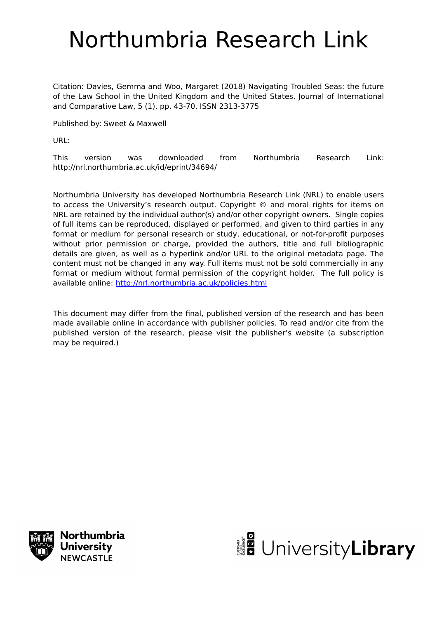# Northumbria Research Link

Citation: Davies, Gemma and Woo, Margaret (2018) Navigating Troubled Seas: the future of the Law School in the United Kingdom and the United States. Journal of International and Comparative Law, 5 (1). pp. 43-70. ISSN 2313-3775

Published by: Sweet & Maxwell

URL:

This version was downloaded from Northumbria Research Link: http://nrl.northumbria.ac.uk/id/eprint/34694/

Northumbria University has developed Northumbria Research Link (NRL) to enable users to access the University's research output. Copyright © and moral rights for items on NRL are retained by the individual author(s) and/or other copyright owners. Single copies of full items can be reproduced, displayed or performed, and given to third parties in any format or medium for personal research or study, educational, or not-for-profit purposes without prior permission or charge, provided the authors, title and full bibliographic details are given, as well as a hyperlink and/or URL to the original metadata page. The content must not be changed in any way. Full items must not be sold commercially in any format or medium without formal permission of the copyright holder. The full policy is available online:<http://nrl.northumbria.ac.uk/policies.html>

This document may differ from the final, published version of the research and has been made available online in accordance with publisher policies. To read and/or cite from the published version of the research, please visit the publisher's website (a subscription may be required.)



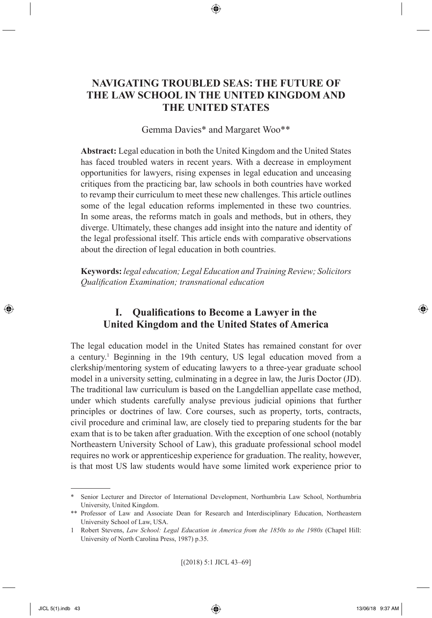# **NAVIGATING TROUBLED SEAS: THE FUTURE OF THE LAW SCHOOL IN THE UNITED KINGDOM AND THE UNITED STATES**

⊕

#### Gemma Davies\* and Margaret Woo\*\*

**Abstract:** Legal education in both the United Kingdom and the United States has faced troubled waters in recent years. With a decrease in employment opportunities for lawyers, rising expenses in legal education and unceasing critiques from the practicing bar, law schools in both countries have worked to revamp their curriculum to meet these new challenges. This article outlines some of the legal education reforms implemented in these two countries. In some areas, the reforms match in goals and methods, but in others, they diverge. Ultimately, these changes add insight into the nature and identity of the legal professional itself. This article ends with comparative observations about the direction of legal education in both countries.

**Keywords:** *legal education; Legal Education and Training Review; Solicitors Qualifi cation Examination; transnational education*

# **I.** Qualifications to Become a Lawyer in the **United Kingdom and the United States of America**

The legal education model in the United States has remained constant for over a century.<sup>1</sup> Beginning in the 19th century, US legal education moved from a clerkship/mentoring system of educating lawyers to a three-year graduate school model in a university setting, culminating in a degree in law, the Juris Doctor (JD). The traditional law curriculum is based on the Langdellian appellate case method, under which students carefully analyse previous judicial opinions that further principles or doctrines of law. Core courses, such as property, torts, contracts, civil procedure and criminal law, are closely tied to preparing students for the bar exam that is to be taken after graduation. With the exception of one school (notably Northeastern University School of Law), this graduate professional school model requires no work or apprenticeship experience for graduation. The reality, however, is that most US law students would have some limited work experience prior to

[(2018) 5:1 JICL 43–69]

⊕

<sup>\*</sup> Senior Lecturer and Director of International Development, Northumbria Law School, Northumbria University, United Kingdom.

<sup>\*\*</sup> Professor of Law and Associate Dean for Research and Interdisciplinary Education, Northeastern University School of Law, USA.

<sup>1</sup> Robert Stevens, *Law School: Legal Education in America from the 1850s to the 1980s* (Chapel Hill: University of North Carolina Press, 1987) p.35.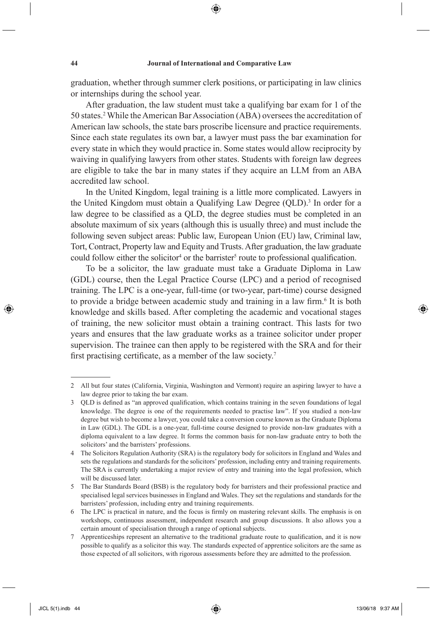⊕

graduation, whether through summer clerk positions, or participating in law clinics or internships during the school year.

After graduation, the law student must take a qualifying bar exam for 1 of the 50 states.2 While the American Bar Association (ABA) oversees the accreditation of American law schools, the state bars proscribe licensure and practice requirements. Since each state regulates its own bar, a lawyer must pass the bar examination for every state in which they would practice in. Some states would allow reciprocity by waiving in qualifying lawyers from other states. Students with foreign law degrees are eligible to take the bar in many states if they acquire an LLM from an ABA accredited law school.

In the United Kingdom, legal training is a little more complicated. Lawyers in the United Kingdom must obtain a Qualifying Law Degree (QLD).<sup>3</sup> In order for a law degree to be classified as a OLD, the degree studies must be completed in an absolute maximum of six years (although this is usually three) and must include the following seven subject areas: Public law, European Union (EU) law, Criminal law, Tort, Contract, Property law and Equity and Trusts. After graduation, the law graduate could follow either the solicitor<sup>4</sup> or the barrister<sup>5</sup> route to professional qualification.

To be a solicitor, the law graduate must take a Graduate Diploma in Law (GDL) course, then the Legal Practice Course (LPC) and a period of recognised training. The LPC is a one-year, full-time (or two-year, part-time) course designed to provide a bridge between academic study and training in a law firm.<sup>6</sup> It is both knowledge and skills based. After completing the academic and vocational stages of training, the new solicitor must obtain a training contract. This lasts for two years and ensures that the law graduate works as a trainee solicitor under proper supervision. The trainee can then apply to be registered with the SRA and for their first practising certificate, as a member of the law society.<sup>7</sup>

◈

<sup>2</sup> All but four states (California, Virginia, Washington and Vermont) require an aspiring lawyer to have a law degree prior to taking the bar exam.

<sup>3</sup> QLD is defined as "an approved qualification, which contains training in the seven foundations of legal knowledge. The degree is one of the requirements needed to practise law". If you studied a non-law degree but wish to become a lawyer, you could take a conversion course known as the Graduate Diploma in Law (GDL). The GDL is a one-year, full-time course designed to provide non-law graduates with a diploma equivalent to a law degree. It forms the common basis for non-law graduate entry to both the solicitors' and the barristers' professions.

<sup>4</sup> The Solicitors Regulation Authority (SRA) is the regulatory body for solicitors in England and Wales and sets the regulations and standards for the solicitors' profession, including entry and training requirements. The SRA is currently undertaking a major review of entry and training into the legal profession, which will be discussed later.

<sup>5</sup> The Bar Standards Board (BSB) is the regulatory body for barristers and their professional practice and specialised legal services businesses in England and Wales. They set the regulations and standards for the barristers' profession, including entry and training requirements.

<sup>6</sup> The LPC is practical in nature, and the focus is firmly on mastering relevant skills. The emphasis is on workshops, continuous assessment, independent research and group discussions. It also allows you a certain amount of specialisation through a range of optional subjects.

<sup>7</sup> Apprenticeships represent an alternative to the traditional graduate route to qualification, and it is now possible to qualify as a solicitor this way. The standards expected of apprentice solicitors are the same as those expected of all solicitors, with rigorous assessments before they are admitted to the profession.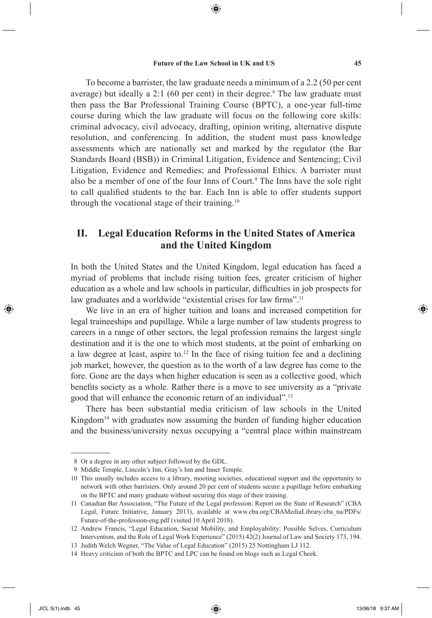⊕

To become a barrister, the law graduate needs a minimum of a 2.2 (50 per cent average) but ideally a 2:1 (60 per cent) in their degree.<sup>8</sup> The law graduate must then pass the Bar Professional Training Course (BPTC), a one-year full-time course during which the law graduate will focus on the following core skills: criminal advocacy, civil advocacy, drafting, opinion writing, alternative dispute resolution, and conferencing. In addition, the student must pass knowledge assessments which are nationally set and marked by the regulator (the Bar Standards Board (BSB)) in Criminal Litigation, Evidence and Sentencing; Civil Litigation, Evidence and Remedies; and Professional Ethics. A barrister must also be a member of one of the four Inns of Court.<sup>9</sup> The Inns have the sole right to call qualified students to the bar. Each Inn is able to offer students support through the vocational stage of their training.10

# **II. Legal Education Reforms in the United States of America and the United Kingdom**

In both the United States and the United Kingdom, legal education has faced a myriad of problems that include rising tuition fees, greater criticism of higher education as a whole and law schools in particular, difficulties in job prospects for law graduates and a worldwide "existential crises for law firms".<sup>11</sup>

We live in an era of higher tuition and loans and increased competition for legal traineeships and pupillage. While a large number of law students progress to careers in a range of other sectors, the legal profession remains the largest single destination and it is the one to which most students, at the point of embarking on a law degree at least, aspire to.12 In the face of rising tuition fee and a declining job market, however, the question as to the worth of a law degree has come to the fore. Gone are the days when higher education is seen as a collective good, which benefits society as a whole. Rather there is a move to see university as a "private" good that will enhance the economic return of an individual".13

There has been substantial media criticism of law schools in the United Kingdom<sup>14</sup> with graduates now assuming the burden of funding higher education and the business/university nexus occupying a "central place within mainstream

⊕

 <sup>8</sup> Or a degree in any other subject followed by the GDL.

 <sup>9</sup> Middle Temple, Lincoln's Inn, Gray's Inn and Inner Temple.

<sup>10</sup> This usually includes access to a library, mooting societies, educational support and the opportunity to network with other barristers. Only around 20 per cent of students secure a pupillage before embarking on the BPTC and many graduate without securing this stage of their training.

<sup>11</sup> Canadian Bar Association, "The Future of the Legal profession: Report on the State of Research" (CBA Legal, Future Initiative, January 2013), available at www.cba.org/CBAMediaLibrary/cba\_na/PDFs/ Future-of-the-profession-eng.pdf (visited 10 April 2018).

<sup>12</sup> Andrew Francis, "Legal Education, Social Mobility, and Employability: Possible Selves, Curriculum Intervention, and the Role of Legal Work Experience" (2015) 42(2) Journal of Law and Society 173, 194.

<sup>13</sup> Judith Welch Wegner, "The Value of Legal Education" (2015) 25 Nottingham LJ 112.

<sup>14</sup> Heavy criticism of both the BPTC and LPC can be found on blogs such as Legal Cheek.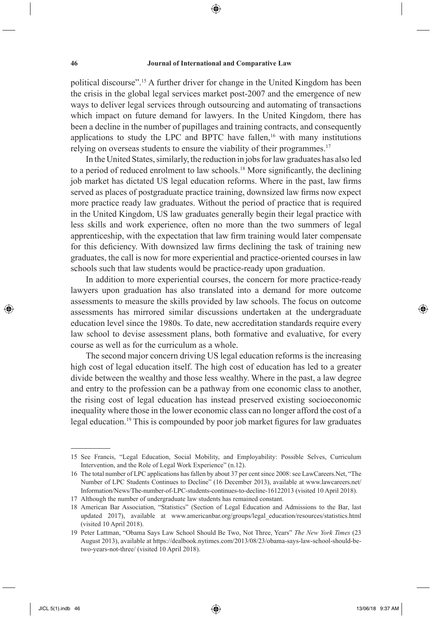⊕

political discourse".15 A further driver for change in the United Kingdom has been the crisis in the global legal services market post-2007 and the emergence of new ways to deliver legal services through outsourcing and automating of transactions which impact on future demand for lawyers. In the United Kingdom, there has been a decline in the number of pupillages and training contracts, and consequently applications to study the LPC and BPTC have fallen.<sup>16</sup> with many institutions relying on overseas students to ensure the viability of their programmes.<sup>17</sup>

In the United States, similarly, the reduction in jobs for law graduates has also led to a period of reduced enrolment to law schools.<sup>18</sup> More significantly, the declining job market has dictated US legal education reforms. Where in the past, law firms served as places of postgraduate practice training, downsized law firms now expect more practice ready law graduates. Without the period of practice that is required in the United Kingdom, US law graduates generally begin their legal practice with less skills and work experience, often no more than the two summers of legal apprenticeship, with the expectation that law firm training would later compensate for this deficiency. With downsized law firms declining the task of training new graduates, the call is now for more experiential and practice-oriented courses in law schools such that law students would be practice-ready upon graduation.

In addition to more experiential courses, the concern for more practice-ready lawyers upon graduation has also translated into a demand for more outcome assessments to measure the skills provided by law schools. The focus on outcome assessments has mirrored similar discussions undertaken at the undergraduate education level since the 1980s. To date, new accreditation standards require every law school to devise assessment plans, both formative and evaluative, for every course as well as for the curriculum as a whole.

The second major concern driving US legal education reforms is the increasing high cost of legal education itself. The high cost of education has led to a greater divide between the wealthy and those less wealthy. Where in the past, a law degree and entry to the profession can be a pathway from one economic class to another, the rising cost of legal education has instead preserved existing socioeconomic inequality where those in the lower economic class can no longer afford the cost of a legal education.<sup>19</sup> This is compounded by poor job market figures for law graduates

⊕

<sup>15</sup> See Francis, "Legal Education, Social Mobility, and Employability: Possible Selves, Curriculum Intervention, and the Role of Legal Work Experience" (n.12).

<sup>16</sup> The total number of LPC applications has fallen by about 37 per cent since 2008: see LawCareers.Net, "The Number of LPC Students Continues to Decline" (16 December 2013), available at www.lawcareers.net/ Information/News/The-number-of-LPC-students-continues-to-decline-16122013 (visited 10 April 2018).

<sup>17</sup> Although the number of undergraduate law students has remained constant.

<sup>18</sup> American Bar Association, "Statistics" (Section of Legal Education and Admissions to the Bar, last updated 2017), available at www.americanbar.org/groups/legal\_education/resources/statistics.html (visited 10 April 2018).

<sup>19</sup> Peter Lattman, "Obama Says Law School Should Be Two, Not Three, Years" *The New York Times* (23 August 2013), available at https://dealbook.nytimes.com/2013/08/23/obama-says-law-school-should-betwo-years-not-three/ (visited 10 April 2018).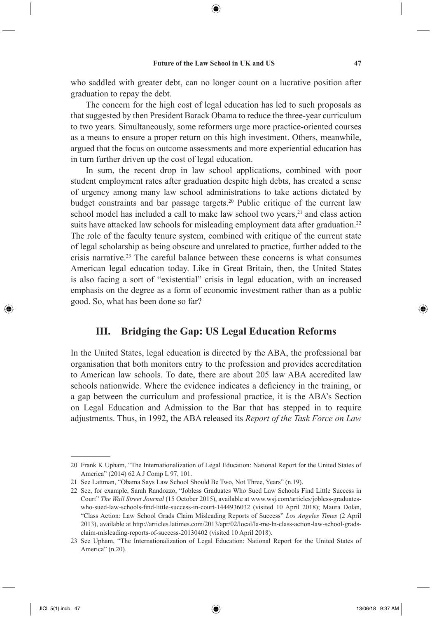who saddled with greater debt, can no longer count on a lucrative position after graduation to repay the debt.

The concern for the high cost of legal education has led to such proposals as that suggested by then President Barack Obama to reduce the three-year curriculum to two years. Simultaneously, some reformers urge more practice-oriented courses as a means to ensure a proper return on this high investment. Others, meanwhile, argued that the focus on outcome assessments and more experiential education has in turn further driven up the cost of legal education.

In sum, the recent drop in law school applications, combined with poor student employment rates after graduation despite high debts, has created a sense of urgency among many law school administrations to take actions dictated by budget constraints and bar passage targets.<sup>20</sup> Public critique of the current law school model has included a call to make law school two years,<sup>21</sup> and class action suits have attacked law schools for misleading employment data after graduation.<sup>22</sup> The role of the faculty tenure system, combined with critique of the current state of legal scholarship as being obscure and unrelated to practice, further added to the crisis narrative.23 The careful balance between these concerns is what consumes American legal education today. Like in Great Britain, then, the United States is also facing a sort of "existential" crisis in legal education, with an increased emphasis on the degree as a form of economic investment rather than as a public good. So, what has been done so far?

## **III. Bridging the Gap: US Legal Education Reforms**

In the United States, legal education is directed by the ABA, the professional bar organisation that both monitors entry to the profession and provides accreditation to American law schools. To date, there are about 205 law ABA accredited law schools nationwide. Where the evidence indicates a deficiency in the training, or a gap between the curriculum and professional practice, it is the ABA's Section on Legal Education and Admission to the Bar that has stepped in to require adjustments. Thus, in 1992, the ABA released its *Report of the Task Force on Law* 

⊕

<sup>20</sup> Frank K Upham, "The Internationalization of Legal Education: National Report for the United States of America" (2014) 62 A J Comp L 97, 101.

<sup>21</sup> See Lattman, "Obama Says Law School Should Be Two, Not Three, Years" (n.19).

<sup>22</sup> See, for example, Sarah Randozzo, "Jobless Graduates Who Sued Law Schools Find Little Success in Court" *The Wall Street Journal* (15 October 2015), available at www.wsj.com/articles/jobless-graduateswho-sued-law-schools-find-little-success-in-court-1444936032 (visited 10 April 2018); Maura Dolan, "Class Action: Law School Grads Claim Misleading Reports of Success" *Los Angeles Times* (2 April 2013), available at http://articles.latimes.com/2013/apr/02/local/la-me-ln-class-action-law-school-gradsclaim-misleading-reports-of-success-20130402 (visited 10 April 2018).

<sup>23</sup> See Upham, "The Internationalization of Legal Education: National Report for the United States of America" (n.20).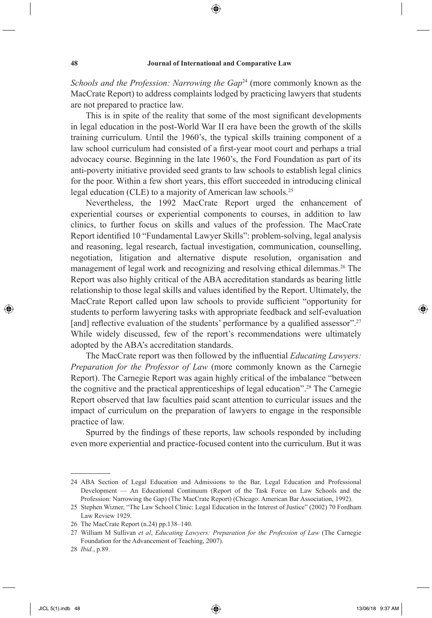⊕

*Schools and the Profession: Narrowing the Gap*<sup>24</sup> (more commonly known as the MacCrate Report) to address complaints lodged by practicing lawyers that students are not prepared to practice law.

This is in spite of the reality that some of the most significant developments in legal education in the post-World War II era have been the growth of the skills training curriculum. Until the 1960's, the typical skills training component of a law school curriculum had consisted of a first-year moot court and perhaps a trial advocacy course. Beginning in the late 1960's, the Ford Foundation as part of its anti-poverty initiative provided seed grants to law schools to establish legal clinics for the poor. Within a few short years, this effort succeeded in introducing clinical legal education (CLE) to a majority of American law schools.<sup>25</sup>

Nevertheless, the 1992 MacCrate Report urged the enhancement of experiential courses or experiential components to courses, in addition to law clinics, to further focus on skills and values of the profession. The MacCrate Report identified 10 "Fundamental Lawyer Skills": problem-solving, legal analysis and reasoning, legal research, factual investigation, communication, counselling, negotiation, litigation and alternative dispute resolution, organisation and management of legal work and recognizing and resolving ethical dilemmas.<sup>26</sup> The Report was also highly critical of the ABA accreditation standards as bearing little relationship to those legal skills and values identified by the Report. Ultimately, the MacCrate Report called upon law schools to provide sufficient "opportunity for students to perform lawyering tasks with appropriate feedback and self-evaluation [and] reflective evaluation of the students' performance by a qualified assessor".<sup>27</sup> While widely discussed, few of the report's recommendations were ultimately adopted by the ABA's accreditation standards.

The MacCrate report was then followed by the influential *Educating Lawyers*: *Preparation for the Professor of Law* (more commonly known as the Carnegie Report). The Carnegie Report was again highly critical of the imbalance "between the cognitive and the practical apprenticeships of legal education".28 The Carnegie Report observed that law faculties paid scant attention to curricular issues and the impact of curriculum on the preparation of lawyers to engage in the responsible practice of law.

Spurred by the findings of these reports, law schools responded by including even more experiential and practice-focused content into the curriculum. But it was

⊕

<sup>24</sup> ABA Section of Legal Education and Admissions to the Bar, Legal Education and Professional Development — An Educational Continuum (Report of the Task Force on Law Schools and the Profession: Narrowing the Gap) (The MacCrate Report) (Chicago: American Bar Association, 1992).

<sup>25</sup> Stephen Wizner, "The Law School Clinic: Legal Education in the Interest of Justice" (2002) 70 Fordham Law Review 1929.

<sup>26</sup> The MacCrate Report (n.24) pp.138–140.

<sup>27</sup> William M Sullivan *et al*, *Educating Lawyers: Preparation for the Profession of Law* (The Carnegie Foundation for the Advancement of Teaching, 2007).

<sup>28</sup> *Ibid.*, p.89.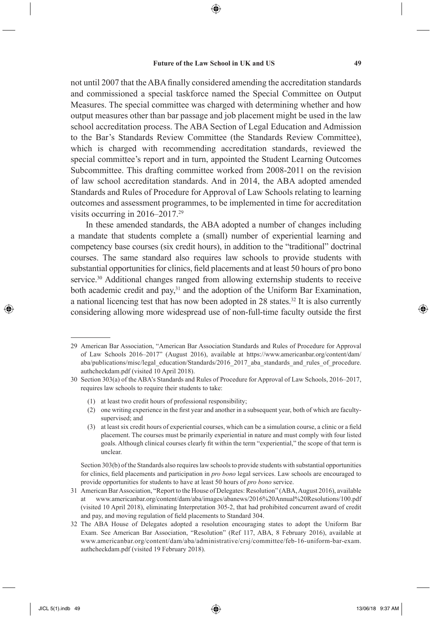⊕

not until 2007 that the ABA finally considered amending the accreditation standards and commissioned a special taskforce named the Special Committee on Output Measures. The special committee was charged with determining whether and how output measures other than bar passage and job placement might be used in the law school accreditation process. The ABA Section of Legal Education and Admission to the Bar's Standards Review Committee (the Standards Review Committee), which is charged with recommending accreditation standards, reviewed the special committee's report and in turn, appointed the Student Learning Outcomes Subcommittee. This drafting committee worked from 2008-2011 on the revision of law school accreditation standards. And in 2014, the ABA adopted amended Standards and Rules of Procedure for Approval of Law Schools relating to learning outcomes and assessment programmes, to be implemented in time for accreditation visits occurring in 2016–2017.29

In these amended standards, the ABA adopted a number of changes including a mandate that students complete a (small) number of experiential learning and competency base courses (six credit hours), in addition to the "traditional" doctrinal courses. The same standard also requires law schools to provide students with substantial opportunities for clinics, field placements and at least 50 hours of pro bono service.<sup>30</sup> Additional changes ranged from allowing externship students to receive both academic credit and pay,<sup>31</sup> and the adoption of the Uniform Bar Examination, a national licencing test that has now been adopted in 28 states.<sup>32</sup> It is also currently considering allowing more widespread use of non-full-time faculty outside the first

- (1) at least two credit hours of professional responsibility;
- $(2)$  one writing experience in the first year and another in a subsequent year, both of which are facultysupervised; and
- (3) at least six credit hours of experiential courses, which can be a simulation course, a clinic or a field placement. The courses must be primarily experiential in nature and must comply with four listed goals. Although clinical courses clearly fi t within the term "experiential," the scope of that term is unclear.

Section 303(b) of the Standards also requires law schools to provide students with substantial opportunities for clinics, field placements and participation in *pro bono* legal services. Law schools are encouraged to provide opportunities for students to have at least 50 hours of *pro bono* service.

- 31 American Bar Association, "Report to the House of Delegates: Resolution" (ABA, August 2016), available at www.americanbar.org/content/dam/aba/images/abanews/2016%20Annual%20Resolutions/100.pdf (visited 10 April 2018), eliminating Interpretation 305-2, that had prohibited concurrent award of credit and pay, and moving regulation of field placements to Standard 304.
- 32 The ABA House of Delegates adopted a resolution encouraging states to adopt the Uniform Bar Exam. See American Bar Association, "Resolution" (Ref 117, ABA, 8 February 2016), available at www.americanbar.org/content/dam/aba/administrative/crsj/committee/feb-16-uniform-bar-exam. authcheckdam.pdf (visited 19 February 2018).

<sup>29</sup> American Bar Association, "American Bar Association Standards and Rules of Procedure for Approval of Law Schools 2016–2017" (August 2016), available at https://www.americanbar.org/content/dam/ aba/publications/misc/legal\_education/Standards/2016\_2017\_aba\_standards\_and\_rules\_of\_procedure. authcheckdam.pdf (visited 10 April 2018).

<sup>30</sup> Section 303(a) of the ABA's Standards and Rules of Procedure for Approval of Law Schools, 2016–2017, requires law schools to require their students to take: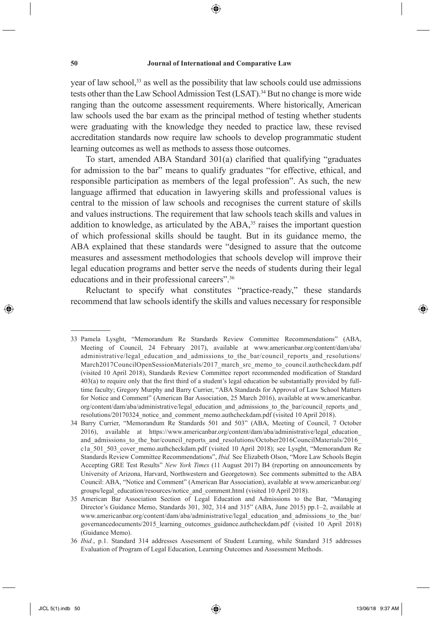⊕

year of law school,<sup>33</sup> as well as the possibility that law schools could use admissions tests other than the Law School Admission Test (LSAT).<sup>34</sup> But no change is more wide ranging than the outcome assessment requirements. Where historically, American law schools used the bar exam as the principal method of testing whether students were graduating with the knowledge they needed to practice law, these revised accreditation standards now require law schools to develop programmatic student learning outcomes as well as methods to assess those outcomes.

To start, amended ABA Standard  $301(a)$  clarified that qualifying "graduates" for admission to the bar" means to qualify graduates "for effective, ethical, and responsible participation as members of the legal profession". As such, the new language affirmed that education in lawyering skills and professional values is central to the mission of law schools and recognises the current stature of skills and values instructions. The requirement that law schools teach skills and values in addition to knowledge, as articulated by the  $ABA$ ,<sup>35</sup> raises the important question of which professional skills should be taught. But in its guidance memo, the ABA explained that these standards were "designed to assure that the outcome measures and assessment methodologies that schools develop will improve their legal education programs and better serve the needs of students during their legal educations and in their professional careers".36

Reluctant to specify what constitutes "practice-ready," these standards recommend that law schools identify the skills and values necessary for responsible

↔

<sup>33</sup> Pamela Lysght, "Memorandum Re Standards Review Committee Recommendations" (ABA, Meeting of Council, 24 February 2017), available at www.americanbar.org/content/dam/aba/ administrative/legal\_education\_and\_admissions\_to\_the\_bar/council\_reports\_and\_resolutions/ March2017CouncilOpenSessionMaterials/2017 march\_src\_memo\_to\_council.authcheckdam.pdf (visited 10 April 2018), Standards Review Committee report recommended modification of Standard  $403(a)$  to require only that the first third of a student's legal education be substantially provided by fulltime faculty; Gregory Murphy and Barry Currier, "ABA Standards for Approval of Law School Matters for Notice and Comment" (American Bar Association, 25 March 2016), available at www.americanbar. org/content/dam/aba/administrative/legal\_education\_and\_admissions\_to\_the\_bar/council\_reports\_and\_ resolutions/20170324 notice and comment memo.authcheckdam.pdf (visited 10 April 2018).

<sup>34</sup> Barry Currier, "Memorandum Re Standards 501 and 503" (ABA, Meeting of Council, 7 October 2016), available at https://www.americanbar.org/content/dam/aba/administrative/legal\_education\_ and admissions to the bar/council reports and resolutions/October2016CouncilMaterials/2016 c1a 501 503 cover memo.authcheckdam.pdf (visited 10 April 2018); see Lysght, "Memorandum Re Standards Review Committee Recommendations", *Ibid.* See Elizabeth Olson, "More Law Schools Begin Accepting GRE Test Results" *New York Times* (11 August 2017) B4 (reporting on announcements by University of Arizona, Harvard, Northwestern and Georgetown). See comments submitted to the ABA Council: ABA, "Notice and Comment" (American Bar Association), available at www.americanbar.org/ groups/legal\_education/resources/notice\_and\_comment.html (visited 10 April 2018).

<sup>35</sup> American Bar Association Section of Legal Education and Admissions to the Bar, "Managing Director's Guidance Memo, Standards 301, 302, 314 and 315" (ABA, June 2015) pp.1–2, available at www.americanbar.org/content/dam/aba/administrative/legal\_education\_and\_admissions\_to\_the\_bar/ governancedocuments/2015\_learning\_outcomes\_guidance.authcheckdam.pdf (visited 10 April 2018) (Guidance Memo).

<sup>36</sup> *Ibid.*, p.1. Standard 314 addresses Assessment of Student Learning, while Standard 315 addresses Evaluation of Program of Legal Education, Learning Outcomes and Assessment Methods.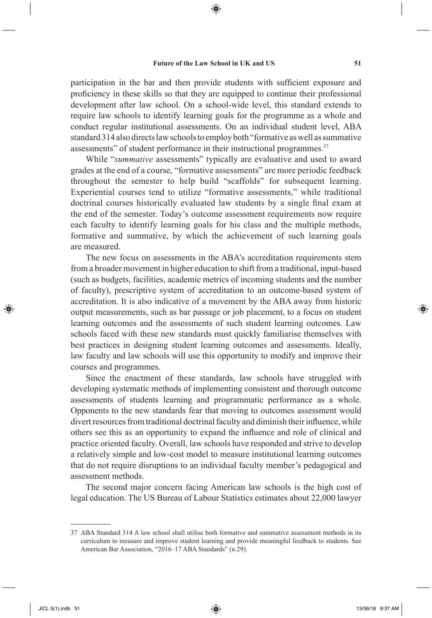⊕

participation in the bar and then provide students with sufficient exposure and proficiency in these skills so that they are equipped to continue their professional development after law school. On a school-wide level, this standard extends to require law schools to identify learning goals for the programme as a whole and conduct regular institutional assessments. On an individual student level, ABA standard 314 also directs law schools to employ both "formative as well as summative assessments" of student performance in their instructional programmes.<sup>37</sup>

While "*summative* assessments" typically are evaluative and used to award grades at the end of a course, "formative assessments" are more periodic feedback throughout the semester to help build "scaffolds" for subsequent learning. Experiential courses tend to utilize "formative assessments," while traditional doctrinal courses historically evaluated law students by a single final exam at the end of the semester. Today's outcome assessment requirements now require each faculty to identify learning goals for his class and the multiple methods, formative and summative, by which the achievement of such learning goals are measured.

The new focus on assessments in the ABA's accreditation requirements stem from a broader movement in higher education to shift from a traditional, input-based (such as budgets, facilities, academic metrics of incoming students and the number of faculty), prescriptive system of accreditation to an outcome-based system of accreditation. It is also indicative of a movement by the ABA away from historic output measurements, such as bar passage or job placement, to a focus on student learning outcomes and the assessments of such student learning outcomes. Law schools faced with these new standards must quickly familiarise themselves with best practices in designing student learning outcomes and assessments. Ideally, law faculty and law schools will use this opportunity to modify and improve their courses and programmes.

Since the enactment of these standards, law schools have struggled with developing systematic methods of implementing consistent and thorough outcome assessments of students learning and programmatic performance as a whole. Opponents to the new standards fear that moving to outcomes assessment would divert resources from traditional doctrinal faculty and diminish their influence, while others see this as an opportunity to expand the influence and role of clinical and practice oriented faculty. Overall, law schools have responded and strive to develop a relatively simple and low-cost model to measure institutional learning outcomes that do not require disruptions to an individual faculty member's pedagogical and assessment methods.

The second major concern facing American law schools is the high cost of legal education. The US Bureau of Labour Statistics estimates about 22,000 lawyer

⊕

<sup>37</sup> ABA Standard 314 A law school shall utilise both formative and summative assessment methods in its curriculum to measure and improve student learning and provide meaningful feedback to students. See American Bar Association, "2016–17 ABA Standards" (n.29).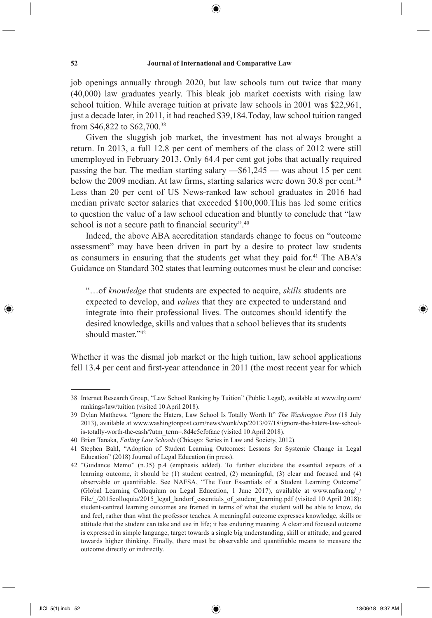job openings annually through 2020, but law schools turn out twice that many (40,000) law graduates yearly. This bleak job market coexists with rising law school tuition. While average tuition at private law schools in 2001 was \$22,961, just a decade later, in 2011, it had reached \$39,184.Today, law school tuition ranged from \$46,822 to \$62,700.38

Given the sluggish job market, the investment has not always brought a return. In 2013, a full 12.8 per cent of members of the class of 2012 were still unemployed in February 2013. Only 64.4 per cent got jobs that actually required passing the bar. The median starting salary —\$61,245 — was about 15 per cent below the 2009 median. At law firms, starting salaries were down 30.8 per cent.<sup>39</sup> Less than 20 per cent of US News-ranked law school graduates in 2016 had median private sector salaries that exceeded \$100,000.This has led some critics to question the value of a law school education and bluntly to conclude that "law school is not a secure path to financial security". $40$ 

Indeed, the above ABA accreditation standards change to focus on "outcome assessment" may have been driven in part by a desire to protect law students as consumers in ensuring that the students get what they paid for.<sup>41</sup> The ABA's Guidance on Standard 302 states that learning outcomes must be clear and concise:

"…of *knowledge* that students are expected to acquire, *skills* students are expected to develop, and *values* that they are expected to understand and integrate into their professional lives. The outcomes should identify the desired knowledge, skills and values that a school believes that its students should master."<sup>42</sup>

Whether it was the dismal job market or the high tuition, law school applications fell 13.4 per cent and first-year attendance in 2011 (the most recent year for which

◈

<sup>38</sup> Internet Research Group, "Law School Ranking by Tuition" (Public Legal), available at www.ilrg.com/ rankings/law/tuition (visited 10 April 2018).

<sup>39</sup> Dylan Matthews, "Ignore the Haters, Law School Is Totally Worth It" *The Washington Post* (18 July 2013), available at www.washingtonpost.com/news/wonk/wp/2013/07/18/ignore-the-haters-law-schoolis-totally-worth-the-cash/?utm\_term=.8d4c5cfbfaae (visited 10 April 2018).

<sup>40</sup> Brian Tanaka, *Failing Law Schools* (Chicago: Series in Law and Society, 2012).

<sup>41</sup> Stephen Bahl, "Adoption of Student Learning Outcomes: Lessons for Systemic Change in Legal Education" (2018) Journal of Legal Education (in press).

<sup>42 &</sup>quot;Guidance Memo" (n.35) p.4 (emphasis added). To further elucidate the essential aspects of a learning outcome, it should be (1) student centred, (2) meaningful, (3) clear and focused and (4) observable or quantifiable. See NAFSA, "The Four Essentials of a Student Learning Outcome" (Global Learning Colloquium on Legal Education, 1 June 2017), available at www.nafsa.org/ File/\_/2015colloquia/2015\_legal\_landorf\_essentials\_of\_student\_learning.pdf (visited 10 April 2018): student-centred learning outcomes are framed in terms of what the student will be able to know, do and feel, rather than what the professor teaches. A meaningful outcome expresses knowledge, skills or attitude that the student can take and use in life; it has enduring meaning. A clear and focused outcome is expressed in simple language, target towards a single big understanding, skill or attitude, and geared towards higher thinking. Finally, there must be observable and quantifiable means to measure the outcome directly or indirectly.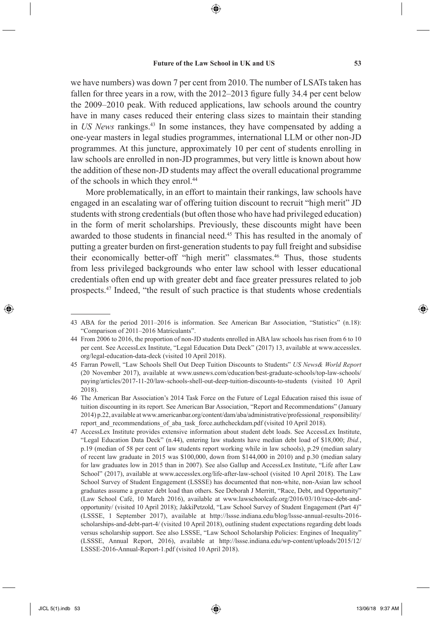⊕

we have numbers) was down 7 per cent from 2010. The number of LSATs taken has fallen for three years in a row, with the  $2012-2013$  figure fully 34.4 per cent below the 2009–2010 peak. With reduced applications, law schools around the country have in many cases reduced their entering class sizes to maintain their standing in *US News* rankings.<sup>43</sup> In some instances, they have compensated by adding a one-year masters in legal studies programmes, international LLM or other non-JD programmes. At this juncture, approximately 10 per cent of students enrolling in law schools are enrolled in non-JD programmes, but very little is known about how the addition of these non-JD students may affect the overall educational programme of the schools in which they enrol.<sup>44</sup>

More problematically, in an effort to maintain their rankings, law schools have engaged in an escalating war of offering tuition discount to recruit "high merit" JD students with strong credentials (but often those who have had privileged education) in the form of merit scholarships. Previously, these discounts might have been awarded to those students in financial need.<sup>45</sup> This has resulted in the anomaly of putting a greater burden on first-generation students to pay full freight and subsidise their economically better-off "high merit" classmates.<sup>46</sup> Thus, those students from less privileged backgrounds who enter law school with lesser educational credentials often end up with greater debt and face greater pressures related to job prospects.47 Indeed, "the result of such practice is that students whose credentials

↔

<sup>43</sup> ABA for the period 2011–2016 is information. See American Bar Association, "Statistics" (n.18): "Comparison of 2011–2016 Matriculants".

<sup>44</sup> From 2006 to 2016, the proportion of non-JD students enrolled in ABA law schools has risen from 6 to 10 per cent. See AccessLex Institute, "Legal Education Data Deck" (2017) 13, available at www.accesslex. org/legal-education-data-deck (visited 10 April 2018).

<sup>45</sup> Farran Powell, "Law Schools Shell Out Deep Tuition Discounts to Students" *US News& World Report* (20 November 2017), available at www.usnews.com/education/best-graduate-schools/top-law-schools/ paying/articles/2017-11-20/law-schools-shell-out-deep-tuition-discounts-to-students (visited 10 April 2018).

<sup>46</sup> The American Bar Association's 2014 Task Force on the Future of Legal Education raised this issue of tuition discounting in its report. See American Bar Association, "Report and Recommendations" (January 2014) p.22, available at www.americanbar.org/content/dam/aba/administrative/professional\_responsibility/ report and recommendations of aba task force.authcheckdam.pdf (visited 10 April 2018).

<sup>47</sup> AccessLex Institute provides extensive information about student debt loads. See AccessLex Institute, "Legal Education Data Deck" (n.44), entering law students have median debt load of \$18,000; *Ibid.*, p.19 (median of 58 per cent of law students report working while in law schools), p.29 (median salary of recent law graduate in 2015 was \$100,000, down from \$144,000 in 2010) and p.30 (median salary for law graduates low in 2015 than in 2007). See also Gallup and AccessLex Institute, "Life after Law School" (2017), available at www.accesslex.org/life-after-law-school (visited 10 April 2018). The Law School Survey of Student Engagement (LSSSE) has documented that non-white, non-Asian law school graduates assume a greater debt load than others. See Deborah J Merritt, "Race, Debt, and Opportunity" (Law School Café, 10 March 2016), available at www.lawschoolcafe.org/2016/03/10/race-debt-andopportunity/ (visited 10 April 2018); JakkiPetzold, "Law School Survey of Student Engagement (Part 4)" (LSSSE, 1 September 2017), available at http://lssse.indiana.edu/blog/lssse-annual-results-2016 scholarships-and-debt-part-4/ (visited 10 April 2018), outlining student expectations regarding debt loads versus scholarship support. See also LSSSE, "Law School Scholarship Policies: Engines of Inequality" (LSSSE, Annual Report, 2016), available at http://lssse.indiana.edu/wp-content/uploads/2015/12/ LSSSE-2016-Annual-Report-1.pdf (visited 10 April 2018).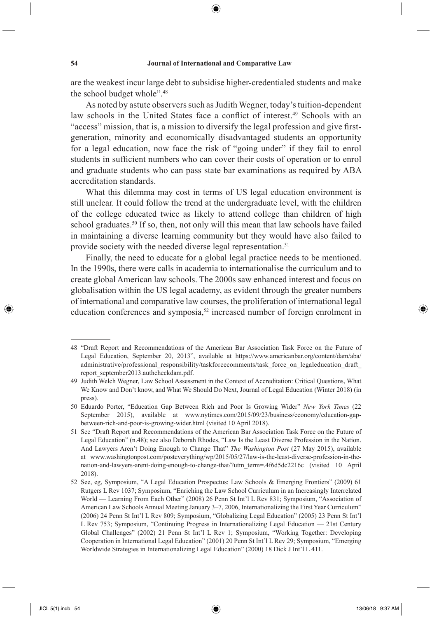⊕

are the weakest incur large debt to subsidise higher-credentialed students and make the school budget whole".48

As noted by astute observers such as Judith Wegner, today's tuition-dependent law schools in the United States face a conflict of interest.<sup>49</sup> Schools with an "access" mission, that is, a mission to diversify the legal profession and give firstgeneration, minority and economically disadvantaged students an opportunity for a legal education, now face the risk of "going under" if they fail to enrol students in sufficient numbers who can cover their costs of operation or to enrol and graduate students who can pass state bar examinations as required by ABA accreditation standards.

What this dilemma may cost in terms of US legal education environment is still unclear. It could follow the trend at the undergraduate level, with the children of the college educated twice as likely to attend college than children of high school graduates.<sup>50</sup> If so, then, not only will this mean that law schools have failed in maintaining a diverse learning community but they would have also failed to provide society with the needed diverse legal representation.<sup>51</sup>

Finally, the need to educate for a global legal practice needs to be mentioned. In the 1990s, there were calls in academia to internationalise the curriculum and to create global American law schools. The 2000s saw enhanced interest and focus on globalisation within the US legal academy, as evident through the greater numbers of international and comparative law courses, the proliferation of international legal education conferences and symposia,<sup>52</sup> increased number of foreign enrolment in

◈

<sup>48 &</sup>quot;Draft Report and Recommendations of the American Bar Association Task Force on the Future of Legal Education, September 20, 2013", available at https://www.americanbar.org/content/dam/aba/ administrative/professional\_responsibility/taskforcecomments/task\_force\_on\_legaleducation\_draft report\_september2013.authcheckdam.pdf.

<sup>49</sup> Judith Welch Wegner, Law School Assessment in the Context of Accreditation: Critical Questions, What We Know and Don't know, and What We Should Do Next, Journal of Legal Education (Winter 2018) (in press).

<sup>50</sup> Eduardo Porter, "Education Gap Between Rich and Poor Is Growing Wider" *New York Times* (22 September 2015), available at www.nytimes.com/2015/09/23/business/economy/education-gapbetween-rich-and-poor-is-growing-wider.html (visited 10 April 2018).

<sup>51</sup> See "Draft Report and Recommendations of the American Bar Association Task Force on the Future of Legal Education" (n.48); see also Deborah Rhodes, "Law Is the Least Diverse Profession in the Nation. And Lawyers Aren't Doing Enough to Change That" *The Washington Post* (27 May 2015), available at www.washingtonpost.com/posteverything/wp/2015/05/27/law-is-the-least-diverse-profession-in-thenation-and-lawyers-arent-doing-enough-to-change-that/?utm\_term=.4f6d5dc2216c (visited 10 April 2018).

<sup>52</sup> See, eg, Symposium, "A Legal Education Prospectus: Law Schools & Emerging Frontiers" (2009) 61 Rutgers L Rev 1037; Symposium, "Enriching the Law School Curriculum in an Increasingly Interrelated World — Learning From Each Other" (2008) 26 Penn St Int'l L Rev 831; Symposium, "Association of American Law Schools Annual Meeting January 3–7, 2006, Internationalizing the First Year Curriculum" (2006) 24 Penn St Int'l L Rev 809; Symposium, "Globalizing Legal Education" (2005) 23 Penn St Int'l L Rev 753; Symposium, "Continuing Progress in Internationalizing Legal Education — 21st Century Global Challenges" (2002) 21 Penn St Int'l L Rev 1; Symposium, "Working Together: Developing Cooperation in International Legal Education" (2001) 20 Penn St Int'l L Rev 29; Symposium, "Emerging Worldwide Strategies in Internationalizing Legal Education" (2000) 18 Dick J Int'l L 411.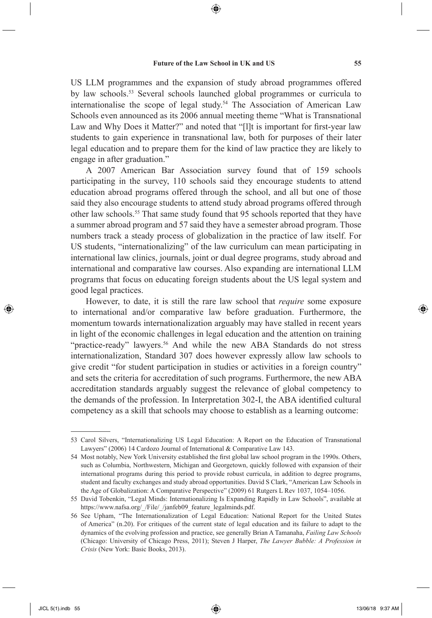US LLM programmes and the expansion of study abroad programmes offered by law schools.<sup>53</sup> Several schools launched global programmes or curricula to internationalise the scope of legal study.<sup>54</sup> The Association of American Law Schools even announced as its 2006 annual meeting theme "What is Transnational Law and Why Does it Matter?" and noted that "[1]t is important for first-year law students to gain experience in transnational law, both for purposes of their later legal education and to prepare them for the kind of law practice they are likely to engage in after graduation."

A 2007 American Bar Association survey found that of 159 schools participating in the survey, 110 schools said they encourage students to attend education abroad programs offered through the school, and all but one of those said they also encourage students to attend study abroad programs offered through other law schools.55 That same study found that 95 schools reported that they have a summer abroad program and 57 said they have a semester abroad program. Those numbers track a steady process of globalization in the practice of law itself. For US students, "internationalizing" of the law curriculum can mean participating in international law clinics, journals, joint or dual degree programs, study abroad and international and comparative law courses. Also expanding are international LLM programs that focus on educating foreign students about the US legal system and good legal practices.

However, to date, it is still the rare law school that *require* some exposure to international and/or comparative law before graduation. Furthermore, the momentum towards internationalization arguably may have stalled in recent years in light of the economic challenges in legal education and the attention on training "practice-ready" lawyers.<sup>56</sup> And while the new ABA Standards do not stress internationalization, Standard 307 does however expressly allow law schools to give credit "for student participation in studies or activities in a foreign country" and sets the criteria for accreditation of such programs. Furthermore, the new ABA accreditation standards arguably suggest the relevance of global competency to the demands of the profession. In Interpretation 302-I, the ABA identified cultural competency as a skill that schools may choose to establish as a learning outcome:

◈

<sup>53</sup> Carol Silvers, "Internationalizing US Legal Education: A Report on the Education of Transnational Lawyers" (2006) 14 Cardozo Journal of International & Comparative Law 143.

<sup>54</sup> Most notably, New York University established the first global law school program in the 1990s. Others, such as Columbia, Northwestern, Michigan and Georgetown, quickly followed with expansion of their international programs during this period to provide robust curricula, in addition to degree programs, student and faculty exchanges and study abroad opportunities. David S Clark, "American Law Schools in the Age of Globalization: A Comparative Perspective" (2009) 61 Rutgers L Rev 1037, 1054–1056.

<sup>55</sup> David Tobenkin, "Legal Minds: Internationalizing Is Expanding Rapidly in Law Schools", available at https://www.nafsa.org/\_/File/\_/janfeb09\_feature\_legalminds.pdf.

<sup>56</sup> See Upham, "The Internationalization of Legal Education: National Report for the United States of America" (n.20). For critiques of the current state of legal education and its failure to adapt to the dynamics of the evolving profession and practice, see generally Brian A Tamanaha, *Failing Law Schools* (Chicago: University of Chicago Press, 2011); Steven J Harper, *The Lawyer Bubble: A Profession in Crisis* (New York: Basic Books, 2013).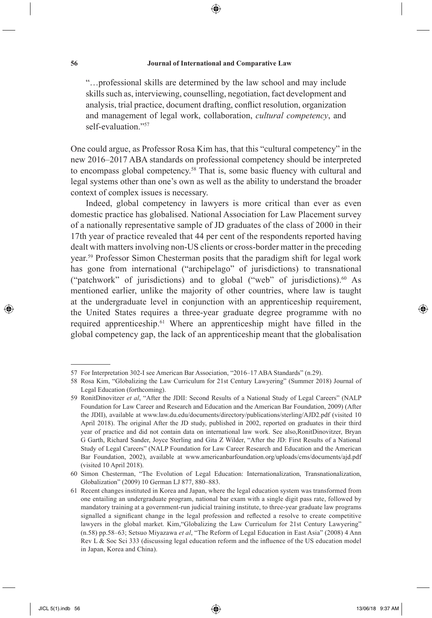⊕

"…professional skills are determined by the law school and may include skills such as, interviewing, counselling, negotiation, fact development and analysis, trial practice, document drafting, conflict resolution, organization and management of legal work, collaboration, *cultural competency*, and self-evaluation<sup>"57</sup>

One could argue, as Professor Rosa Kim has, that this "cultural competency" in the new 2016–2017 ABA standards on professional competency should be interpreted to encompass global competency.<sup>58</sup> That is, some basic fluency with cultural and legal systems other than one's own as well as the ability to understand the broader context of complex issues is necessary.

Indeed, global competency in lawyers is more critical than ever as even domestic practice has globalised. National Association for Law Placement survey of a nationally representative sample of JD graduates of the class of 2000 in their 17th year of practice revealed that 44 per cent of the respondents reported having dealt with matters involving non-US clients or cross-border matter in the preceding year.59 Professor Simon Chesterman posits that the paradigm shift for legal work has gone from international ("archipelago" of jurisdictions) to transnational ("patchwork" of jurisdictions) and to global ("web" of jurisdictions).60 As mentioned earlier, unlike the majority of other countries, where law is taught at the undergraduate level in conjunction with an apprenticeship requirement, the United States requires a three-year graduate degree programme with no required apprenticeship.<sup>61</sup> Where an apprenticeship might have filled in the global competency gap, the lack of an apprenticeship meant that the globalisation

 $\langle \spadesuit \rangle$ 

<sup>57</sup> For Interpretation 302-I see American Bar Association, "2016–17 ABA Standards" (n.29).

<sup>58</sup> Rosa Kim, "Globalizing the Law Curriculum for 21st Century Lawyering" (Summer 2018) Journal of Legal Education (forthcoming).

<sup>59</sup> RonitDinovitzer *et al*, "After the JDII: Second Results of a National Study of Legal Careers" (NALP Foundation for Law Career and Research and Education and the American Bar Foundation, 2009) (After the JDII), available at www.law.du.edu/documents/directory/publications/sterling/AJD2.pdf (visited 10 April 2018). The original After the JD study, published in 2002, reported on graduates in their third year of practice and did not contain data on international law work. See also,RonitDinovitzer, Bryan G Garth, Richard Sander, Joyce Sterling and Gita Z Wilder, "After the JD: First Results of a National Study of Legal Careers" (NALP Foundation for Law Career Research and Education and the American Bar Foundation, 2002), available at www.americanbarfoundation.org/uploads/cms/documents/ajd.pdf (visited 10 April 2018).

<sup>60</sup> Simon Chesterman, "The Evolution of Legal Education: Internationalization, Transnationalization, Globalization" (2009) 10 German LJ 877, 880–883.

<sup>61</sup> Recent changes instituted in Korea and Japan, where the legal education system was transformed from one entailing an undergraduate program, national bar exam with a single digit pass rate, followed by mandatory training at a government-run judicial training institute, to three-year graduate law programs signalled a significant change in the legal profession and reflected a resolve to create competitive lawyers in the global market. Kim, "Globalizing the Law Curriculum for 21st Century Lawyering" (n.58) pp.58–63; Setsuo Miyazawa *et al*, "The Reform of Legal Education in East Asia" (2008) 4 Ann Rev L  $\&$  Soc Sci 333 (discussing legal education reform and the influence of the US education model in Japan, Korea and China).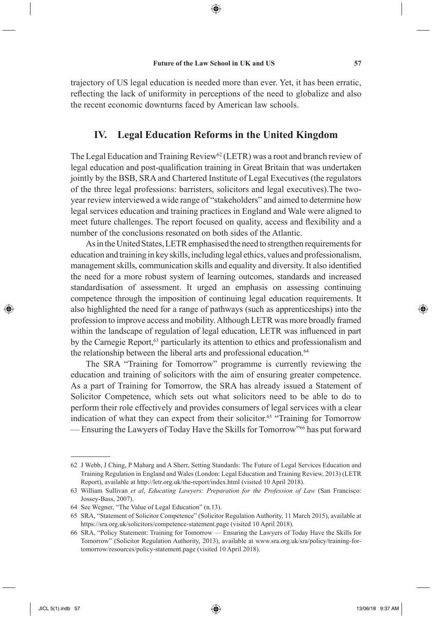⊕

trajectory of US legal education is needed more than ever. Yet, it has been erratic, reflecting the lack of uniformity in perceptions of the need to globalize and also the recent economic downturns faced by American law schools.

## **IV. Legal Education Reforms in the United Kingdom**

The Legal Education and Training Review<sup>62</sup> (LETR) was a root and branch review of legal education and post-qualification training in Great Britain that was undertaken jointly by the BSB, SRA and Chartered Institute of Legal Executives (the regulators of the three legal professions: barristers, solicitors and legal executives).The twoyear review interviewed a wide range of "stakeholders" and aimed to determine how legal services education and training practices in England and Wale were aligned to meet future challenges. The report focused on quality, access and flexibility and a number of the conclusions resonated on both sides of the Atlantic.

As in the United States, LETR emphasised the need to strengthen requirements for education and training in key skills, including legal ethics, values and professionalism, management skills, communication skills and equality and diversity. It also identified the need for a more robust system of learning outcomes, standards and increased standardisation of assessment. It urged an emphasis on assessing continuing competence through the imposition of continuing legal education requirements. It also highlighted the need for a range of pathways (such as apprenticeships) into the profession to improve access and mobility. Although LETR was more broadly framed within the landscape of regulation of legal education, LETR was influenced in part by the Carnegie Report,<sup>63</sup> particularly its attention to ethics and professionalism and the relationship between the liberal arts and professional education.<sup>64</sup>

The SRA "Training for Tomorrow" programme is currently reviewing the education and training of solicitors with the aim of ensuring greater competence. As a part of Training for Tomorrow, the SRA has already issued a Statement of Solicitor Competence, which sets out what solicitors need to be able to do to perform their role effectively and provides consumers of legal services with a clear indication of what they can expect from their solicitor.65 "Training for Tomorrow — Ensuring the Lawyers of Today Have the Skills for Tomorrow"66 has put forward

⊕

<sup>62</sup> J Webb, J Ching, P Maharg and A Sherr, Setting Standards: The Future of Legal Services Education and Training Regulation in England and Wales (London: Legal Education and Training Review, 2013) (LETR Report), available at http://letr.org.uk/the-report/index.html (visited 10 April 2018).

<sup>63</sup> William Sullivan *et al*, *Educating Lawyers: Preparation for the Profession of Law* (San Francisco: Jossey-Bass, 2007).

<sup>64</sup> See Wegner, "The Value of Legal Education" (n.13).

<sup>65</sup> SRA, "Statement of Solicitor Competence" (Solicitor Regulation Authority, 11 March 2015), available at https://sra.org.uk/solicitors/competence-statement.page (visited 10 April 2018).

<sup>66</sup> SRA, "Policy Statement: Training for Tomorrow — Ensuring the Lawyers of Today Have the Skills for Tomorrow" (Solicitor Regulation Authority, 2013), available at www.sra.org.uk/sra/policy/training-fortomorrow/resources/policy-statement.page (visited 10 April 2018).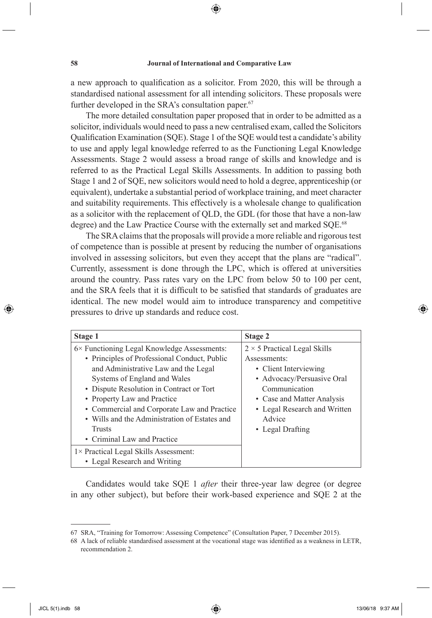⊕

a new approach to qualification as a solicitor. From 2020, this will be through a standardised national assessment for all intending solicitors. These proposals were further developed in the SRA's consultation paper.<sup>67</sup>

The more detailed consultation paper proposed that in order to be admitted as a solicitor, individuals would need to pass a new centralised exam, called the Solicitors Qualification Examination (SQE). Stage 1 of the SQE would test a candidate's ability to use and apply legal knowledge referred to as the Functioning Legal Knowledge Assessments. Stage 2 would assess a broad range of skills and knowledge and is referred to as the Practical Legal Skills Assessments. In addition to passing both Stage 1 and 2 of SQE, new solicitors would need to hold a degree, apprenticeship (or equivalent), undertake a substantial period of workplace training, and meet character and suitability requirements. This effectively is a wholesale change to qualification as a solicitor with the replacement of QLD, the GDL (for those that have a non-law degree) and the Law Practice Course with the externally set and marked SQE.<sup>68</sup>

The SRA claims that the proposals will provide a more reliable and rigorous test of competence than is possible at present by reducing the number of organisations involved in assessing solicitors, but even they accept that the plans are "radical". Currently, assessment is done through the LPC, which is offered at universities around the country. Pass rates vary on the LPC from below 50 to 100 per cent, and the SRA feels that it is difficult to be satisfied that standards of graduates are identical. The new model would aim to introduce transparency and competitive pressures to drive up standards and reduce cost.

| Stage 1                                             | <b>Stage 2</b>                      |
|-----------------------------------------------------|-------------------------------------|
| $6 \times$ Functioning Legal Knowledge Assessments: | $2 \times 5$ Practical Legal Skills |
| • Principles of Professional Conduct, Public        | Assessments:                        |
| and Administrative Law and the Legal                | • Client Interviewing               |
| Systems of England and Wales                        | • Advocacy/Persuasive Oral          |
| • Dispute Resolution in Contract or Tort            | Communication                       |
| • Property Law and Practice                         | • Case and Matter Analysis          |
| • Commercial and Corporate Law and Practice         | • Legal Research and Written        |
| • Wills and the Administration of Estates and       | Advice                              |
| <b>Trusts</b>                                       | • Legal Drafting                    |
| • Criminal Law and Practice                         |                                     |
| $1 \times$ Practical Legal Skills Assessment:       |                                     |
| • Legal Research and Writing                        |                                     |

Candidates would take SQE 1 *after* their three-year law degree (or degree in any other subject), but before their work-based experience and SQE 2 at the

↔

<sup>67</sup> SRA, "Training for Tomorrow: Assessing Competence" (Consultation Paper, 7 December 2015).

<sup>68</sup> A lack of reliable standardised assessment at the vocational stage was identified as a weakness in LETR, recommendation 2.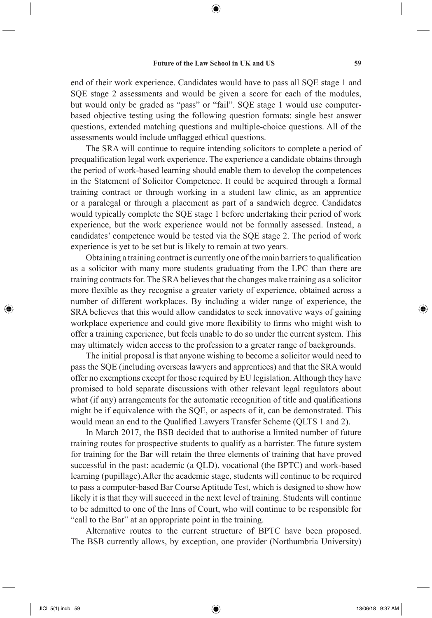end of their work experience. Candidates would have to pass all SQE stage 1 and SQE stage 2 assessments and would be given a score for each of the modules, but would only be graded as "pass" or "fail". SQE stage 1 would use computerbased objective testing using the following question formats: single best answer questions, extended matching questions and multiple-choice questions. All of the assessments would include unflagged ethical questions.

The SRA will continue to require intending solicitors to complete a period of prequalification legal work experience. The experience a candidate obtains through the period of work-based learning should enable them to develop the competences in the Statement of Solicitor Competence. It could be acquired through a formal training contract or through working in a student law clinic, as an apprentice or a paralegal or through a placement as part of a sandwich degree. Candidates would typically complete the SQE stage 1 before undertaking their period of work experience, but the work experience would not be formally assessed. Instead, a candidates' competence would be tested via the SQE stage 2. The period of work experience is yet to be set but is likely to remain at two years.

Obtaining a training contract is currently one of the main barriers to qualification as a solicitor with many more students graduating from the LPC than there are training contracts for. The SRA believes that the changes make training as a solicitor more flexible as they recognise a greater variety of experience, obtained across a number of different workplaces. By including a wider range of experience, the SRA believes that this would allow candidates to seek innovative ways of gaining workplace experience and could give more flexibility to firms who might wish to offer a training experience, but feels unable to do so under the current system. This may ultimately widen access to the profession to a greater range of backgrounds.

The initial proposal is that anyone wishing to become a solicitor would need to pass the SQE (including overseas lawyers and apprentices) and that the SRA would offer no exemptions except for those required by EU legislation. Although they have promised to hold separate discussions with other relevant legal regulators about what (if any) arrangements for the automatic recognition of title and qualifications might be if equivalence with the SQE, or aspects of it, can be demonstrated. This would mean an end to the Qualified Lawyers Transfer Scheme (QLTS 1 and 2).

In March 2017, the BSB decided that to authorise a limited number of future training routes for prospective students to qualify as a barrister. The future system for training for the Bar will retain the three elements of training that have proved successful in the past: academic (a QLD), vocational (the BPTC) and work-based learning (pupillage).After the academic stage, students will continue to be required to pass a computer-based Bar Course Aptitude Test, which is designed to show how likely it is that they will succeed in the next level of training. Students will continue to be admitted to one of the Inns of Court, who will continue to be responsible for "call to the Bar" at an appropriate point in the training.

Alternative routes to the current structure of BPTC have been proposed. The BSB currently allows, by exception, one provider (Northumbria University)

⊕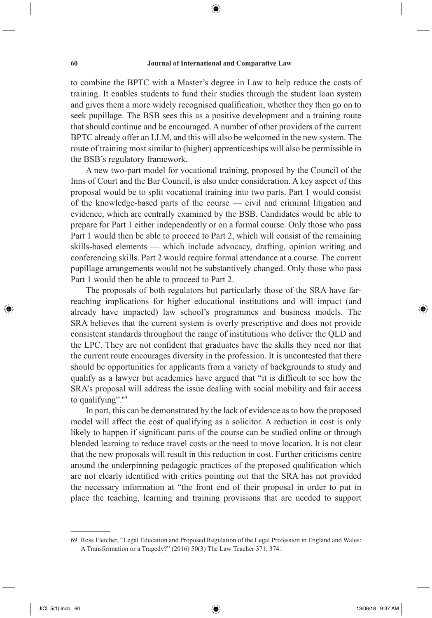⊕

to combine the BPTC with a Master's degree in Law to help reduce the costs of training. It enables students to fund their studies through the student loan system and gives them a more widely recognised qualification, whether they then go on to seek pupillage. The BSB sees this as a positive development and a training route that should continue and be encouraged. A number of other providers of the current BPTC already offer an LLM, and this will also be welcomed in the new system. The route of training most similar to (higher) apprenticeships will also be permissible in the BSB's regulatory framework.

A new two-part model for vocational training, proposed by the Council of the Inns of Court and the Bar Council, is also under consideration. A key aspect of this proposal would be to split vocational training into two parts. Part 1 would consist of the knowledge-based parts of the course — civil and criminal litigation and evidence, which are centrally examined by the BSB. Candidates would be able to prepare for Part 1 either independently or on a formal course. Only those who pass Part 1 would then be able to proceed to Part 2, which will consist of the remaining skills-based elements — which include advocacy, drafting, opinion writing and conferencing skills. Part 2 would require formal attendance at a course. The current pupillage arrangements would not be substantively changed. Only those who pass Part 1 would then be able to proceed to Part 2.

The proposals of both regulators but particularly those of the SRA have farreaching implications for higher educational institutions and will impact (and already have impacted) law school's programmes and business models. The SRA believes that the current system is overly prescriptive and does not provide consistent standards throughout the range of institutions who deliver the QLD and the LPC. They are not confident that graduates have the skills they need nor that the current route encourages diversity in the profession. It is uncontested that there should be opportunities for applicants from a variety of backgrounds to study and qualify as a lawyer but academics have argued that "it is difficult to see how the SRA's proposal will address the issue dealing with social mobility and fair access to qualifying".<sup>69</sup>

In part, this can be demonstrated by the lack of evidence as to how the proposed model will affect the cost of qualifying as a solicitor. A reduction in cost is only likely to happen if significant parts of the course can be studied online or through blended learning to reduce travel costs or the need to move location. It is not clear that the new proposals will result in this reduction in cost. Further criticisms centre around the underpinning pedagogic practices of the proposed qualification which are not clearly identified with critics pointing out that the SRA has not provided the necessary information at "the front end of their proposal in order to put in place the teaching, learning and training provisions that are needed to support

JICL 5(1).indb 60 13/06/18 9:37 AM 3/06/18 9:37 AM

⊕

<sup>69</sup> Ross Fletcher, "Legal Education and Proposed Regulation of the Legal Profession in England and Wales: A Transformation or a Tragedy?" (2016) 50(3) The Law Teacher 371, 374.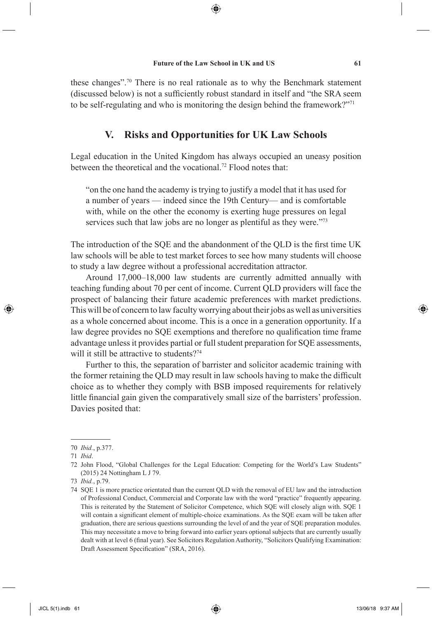⊕

these changes".70 There is no real rationale as to why the Benchmark statement (discussed below) is not a sufficiently robust standard in itself and "the SRA seem to be self-regulating and who is monitoring the design behind the framework?"71

## **V. Risks and Opportunities for UK Law Schools**

Legal education in the United Kingdom has always occupied an uneasy position between the theoretical and the vocational.<sup>72</sup> Flood notes that:

"on the one hand the academy is trying to justify a model that it has used for a number of years — indeed since the 19th Century— and is comfortable with, while on the other the economy is exerting huge pressures on legal services such that law jobs are no longer as plentiful as they were."<sup>73</sup>

The introduction of the SQE and the abandonment of the QLD is the first time UK law schools will be able to test market forces to see how many students will choose to study a law degree without a professional accreditation attractor.

Around 17,000–18,000 law students are currently admitted annually with teaching funding about 70 per cent of income. Current QLD providers will face the prospect of balancing their future academic preferences with market predictions. This will be of concern to law faculty worrying about their jobs as well as universities as a whole concerned about income. This is a once in a generation opportunity. If a law degree provides no SQE exemptions and therefore no qualification time frame advantage unless it provides partial or full student preparation for SQE assessments, will it still be attractive to students?<sup>74</sup>

Further to this, the separation of barrister and solicitor academic training with the former retaining the QLD may result in law schools having to make the difficult choice as to whether they comply with BSB imposed requirements for relatively little financial gain given the comparatively small size of the barristers' profession. Davies posited that:

⊕

<sup>70</sup> *Ibid.*, p.377.

<sup>71</sup> *Ibid*.

<sup>72</sup> John Flood, "Global Challenges for the Legal Education: Competing for the World's Law Students" (2015) 24 Nottingham L J 79.

<sup>73</sup> *Ibid.*, p.79.

<sup>74</sup> SQE 1 is more practice orientated than the current QLD with the removal of EU law and the introduction of Professional Conduct, Commercial and Corporate law with the word "practice" frequently appearing. This is reiterated by the Statement of Solicitor Competence, which SQE will closely align with. SQE 1 will contain a significant element of multiple-choice examinations. As the SQE exam will be taken after graduation, there are serious questions surrounding the level of and the year of SQE preparation modules. This may necessitate a move to bring forward into earlier years optional subjects that are currently usually dealt with at level 6 (final year). See Solicitors Regulation Authority, "Solicitors Qualifying Examination: Draft Assessment Specification" (SRA, 2016).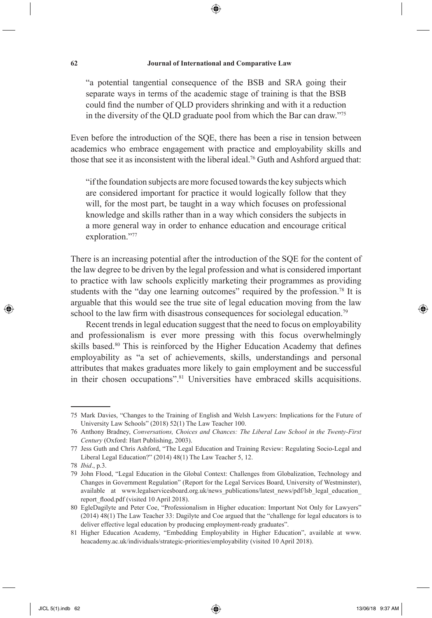⊕

"a potential tangential consequence of the BSB and SRA going their separate ways in terms of the academic stage of training is that the BSB could find the number of QLD providers shrinking and with it a reduction in the diversity of the QLD graduate pool from which the Bar can draw."75

Even before the introduction of the SQE, there has been a rise in tension between academics who embrace engagement with practice and employability skills and those that see it as inconsistent with the liberal ideal.76 Guth and Ashford argued that:

"if the foundation subjects are more focused towards the key subjects which are considered important for practice it would logically follow that they will, for the most part, be taught in a way which focuses on professional knowledge and skills rather than in a way which considers the subjects in a more general way in order to enhance education and encourage critical exploration."77

There is an increasing potential after the introduction of the SQE for the content of the law degree to be driven by the legal profession and what is considered important to practice with law schools explicitly marketing their programmes as providing students with the "day one learning outcomes" required by the profession.<sup>78</sup> It is arguable that this would see the true site of legal education moving from the law school to the law firm with disastrous consequences for sociolegal education.<sup>79</sup>

Recent trends in legal education suggest that the need to focus on employability and professionalism is ever more pressing with this focus overwhelmingly skills based.<sup>80</sup> This is reinforced by the Higher Education Academy that defines employability as "a set of achievements, skills, understandings and personal attributes that makes graduates more likely to gain employment and be successful in their chosen occupations".81 Universities have embraced skills acquisitions.

⊕

<sup>75</sup> Mark Davies, "Changes to the Training of English and Welsh Lawyers: Implications for the Future of University Law Schools" (2018) 52(1) The Law Teacher 100.

<sup>76</sup> Anthony Bradney, *Conversations, Choices and Chances: The Liberal Law School in the Twenty-First Century* (Oxford: Hart Publishing, 2003).

<sup>77</sup> Jess Guth and Chris Ashford, "The Legal Education and Training Review: Regulating Socio-Legal and Liberal Legal Education?" (2014) 48(1) The Law Teacher 5, 12.

<sup>78</sup> *Ibid*., p.3.

<sup>79</sup> John Flood, "Legal Education in the Global Context: Challenges from Globalization, Technology and Changes in Government Regulation" (Report for the Legal Services Board, University of Westminster), available at www.legalservicesboard.org.uk/news\_publications/latest\_news/pdf/lsb\_legal\_education\_ report flood.pdf (visited 10 April 2018).

<sup>80</sup> EgleDagilyte and Peter Coe, "Professionalism in Higher education: Important Not Only for Lawyers" (2014) 48(1) The Law Teacher 33: Dagilyte and Coe argued that the "challenge for legal educators is to deliver effective legal education by producing employment-ready graduates".

<sup>81</sup> Higher Education Academy, "Embedding Employability in Higher Education", available at www. heacademy.ac.uk/individuals/strategic-priorities/employability (visited 10 April 2018).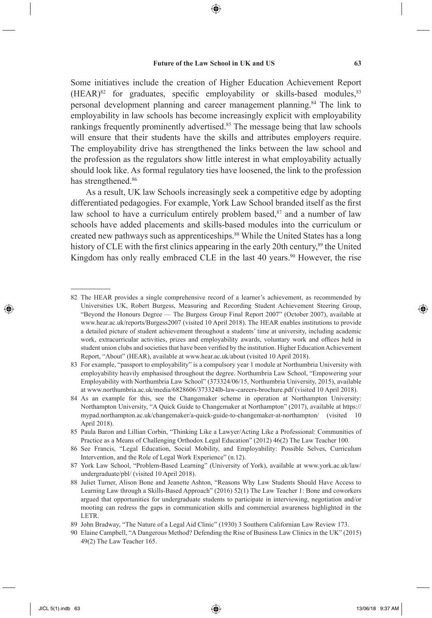⊕

Some initiatives include the creation of Higher Education Achievement Report  $(HEAR)^{82}$  for graduates, specific employability or skills-based modules,  $83$ personal development planning and career management planning.84 The link to employability in law schools has become increasingly explicit with employability rankings frequently prominently advertised.<sup>85</sup> The message being that law schools will ensure that their students have the skills and attributes employers require. The employability drive has strengthened the links between the law school and the profession as the regulators show little interest in what employability actually should look like. As formal regulatory ties have loosened, the link to the profession has strengthened.<sup>86</sup>

As a result, UK law Schools increasingly seek a competitive edge by adopting differentiated pedagogies. For example, York Law School branded itself as the first law school to have a curriculum entirely problem based, $87$  and a number of law schools have added placements and skills-based modules into the curriculum or created new pathways such as apprenticeships.88 While the United States has a long history of CLE with the first clinics appearing in the early 20th century,<sup>89</sup> the United Kingdom has only really embraced CLE in the last 40 years.<sup>90</sup> However, the rise

<sup>82</sup> The HEAR provides a single comprehensive record of a learner's achievement, as recommended by Universities UK, Robert Burgess, Measuring and Recording Student Achievement Steering Group, "Beyond the Honours Degree — The Burgess Group Final Report 2007" (October 2007), available at www.hear.ac.uk/reports/Burgess2007 (visited 10 April 2018). The HEAR enables institutions to provide a detailed picture of student achievement throughout a students' time at university, including academic work, extracurricular activities, prizes and employability awards, voluntary work and offices held in student union clubs and societies that have been verified by the institution. Higher Education Achievement Report, "About" (HEAR), available at www.hear.ac.uk/about (visited 10 April 2018).

<sup>83</sup> For example, "passport to employability" is a compulsory year 1 module at Northumbria University with employability heavily emphasised throughout the degree. Northumbria Law School, "Empowering your Employability with Northumbria Law School" (373324/06/15, Northumbria University, 2015), available at www.northumbria.ac.uk/media/6828606/373324lb-law-careers-brochure.pdf (visited 10 April 2018).

<sup>84</sup> As an example for this, see the Changemaker scheme in operation at Northampton University: Northampton University, "A Quick Guide to Changemaker at Northampton" (2017), available at https:// mypad.northampton.ac.uk/changemaker/a-quick-guide-to-changemaker-at-northampton/ (visited 10 April 2018).

<sup>85</sup> Paula Baron and Lillian Corbin, "Thinking Like a Lawyer/Acting Like a Professional: Communities of Practice as a Means of Challenging Orthodox Legal Education" (2012) 46(2) The Law Teacher 100.

<sup>86</sup> See Francis, "Legal Education, Social Mobility, and Employability: Possible Selves, Curriculum Intervention, and the Role of Legal Work Experience" (n.12).

<sup>87</sup> York Law School, "Problem-Based Learning" (University of York), available at www.york.ac.uk/law/ undergraduate/pbl/ (visited 10 April 2018).

<sup>88</sup> Juliet Turner, Alison Bone and Jeanette Ashton, "Reasons Why Law Students Should Have Access to Learning Law through a Skills-Based Approach" (2016) 52(1) The Law Teacher 1: Bone and coworkers argued that opportunities for undergraduate students to participate in interviewing, negotiation and/or mooting can redress the gaps in communication skills and commercial awareness highlighted in the LETR.

<sup>89</sup> John Bradway, "The Nature of a Legal Aid Clinic" (1930) 3 Southern Californian Law Review 173.

<sup>90</sup> Elaine Campbell, "A Dangerous Method? Defending the Rise of Business Law Clinics in the UK" (2015) 49(2) The Law Teacher 165.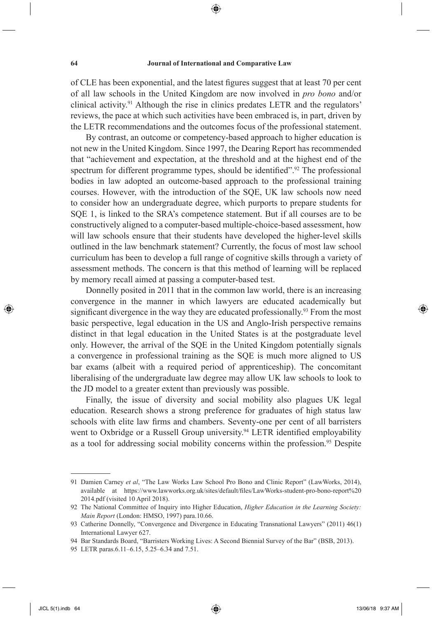⊕

of CLE has been exponential, and the latest figures suggest that at least 70 per cent of all law schools in the United Kingdom are now involved in *pro bono* and/or clinical activity.91 Although the rise in clinics predates LETR and the regulators' reviews, the pace at which such activities have been embraced is, in part, driven by the LETR recommendations and the outcomes focus of the professional statement.

By contrast, an outcome or competency-based approach to higher education is not new in the United Kingdom. Since 1997, the Dearing Report has recommended that "achievement and expectation, at the threshold and at the highest end of the spectrum for different programme types, should be identified".<sup>92</sup> The professional bodies in law adopted an outcome-based approach to the professional training courses. However, with the introduction of the SQE, UK law schools now need to consider how an undergraduate degree, which purports to prepare students for SQE 1, is linked to the SRA's competence statement. But if all courses are to be constructively aligned to a computer-based multiple-choice-based assessment, how will law schools ensure that their students have developed the higher-level skills outlined in the law benchmark statement? Currently, the focus of most law school curriculum has been to develop a full range of cognitive skills through a variety of assessment methods. The concern is that this method of learning will be replaced by memory recall aimed at passing a computer-based test.

Donnelly posited in 2011 that in the common law world, there is an increasing convergence in the manner in which lawyers are educated academically but significant divergence in the way they are educated professionally.<sup>93</sup> From the most basic perspective, legal education in the US and Anglo-Irish perspective remains distinct in that legal education in the United States is at the postgraduate level only. However, the arrival of the SQE in the United Kingdom potentially signals a convergence in professional training as the SQE is much more aligned to US bar exams (albeit with a required period of apprenticeship). The concomitant liberalising of the undergraduate law degree may allow UK law schools to look to the JD model to a greater extent than previously was possible.

Finally, the issue of diversity and social mobility also plagues UK legal education. Research shows a strong preference for graduates of high status law schools with elite law firms and chambers. Seventy-one per cent of all barristers went to Oxbridge or a Russell Group university.<sup>94</sup> LETR identified employability as a tool for addressing social mobility concerns within the profession.<sup>95</sup> Despite

⊕

<sup>91</sup> Damien Carney *et al*, "The Law Works Law School Pro Bono and Clinic Report" (LawWorks, 2014), available at https://www.lawworks.org.uk/sites/default/fi les/LawWorks-student-pro-bono-report%20 2014.pdf (visited 10 April 2018).

<sup>92</sup> The National Committee of Inquiry into Higher Education, *Higher Education in the Learning Society: Main Report* (London: HMSO, 1997) para.10.66.

<sup>93</sup> Catherine Donnelly, "Convergence and Divergence in Educating Transnational Lawyers" (2011) 46(1) International Lawyer 627.

<sup>94</sup> Bar Standards Board, "Barristers Working Lives: A Second Biennial Survey of the Bar" (BSB, 2013).

<sup>95</sup> LETR paras.6.11–6.15, 5.25–6.34 and 7.51.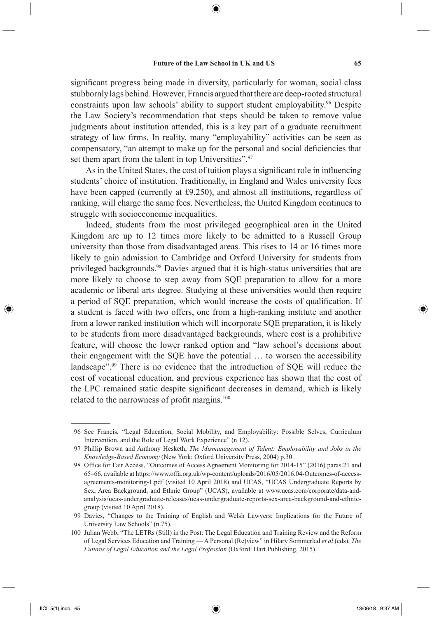significant progress being made in diversity, particularly for woman, social class stubbornly lags behind. However, Francis argued that there are deep-rooted structural constraints upon law schools' ability to support student employability.<sup>96</sup> Despite

the Law Society's recommendation that steps should be taken to remove value judgments about institution attended, this is a key part of a graduate recruitment strategy of law firms. In reality, many "employability" activities can be seen as compensatory, "an attempt to make up for the personal and social deficiencies that set them apart from the talent in top Universities".<sup>97</sup>

As in the United States, the cost of tuition plays a significant role in influencing students' choice of institution. Traditionally, in England and Wales university fees have been capped (currently at £9,250), and almost all institutions, regardless of ranking, will charge the same fees. Nevertheless, the United Kingdom continues to struggle with socioeconomic inequalities.

Indeed, students from the most privileged geographical area in the United Kingdom are up to 12 times more likely to be admitted to a Russell Group university than those from disadvantaged areas. This rises to 14 or 16 times more likely to gain admission to Cambridge and Oxford University for students from privileged backgrounds.98 Davies argued that it is high-status universities that are more likely to choose to step away from SQE preparation to allow for a more academic or liberal arts degree. Studying at these universities would then require a period of SQE preparation, which would increase the costs of qualification. If a student is faced with two offers, one from a high-ranking institute and another from a lower ranked institution which will incorporate SQE preparation, it is likely to be students from more disadvantaged backgrounds, where cost is a prohibitive feature, will choose the lower ranked option and "law school's decisions about their engagement with the SQE have the potential … to worsen the accessibility landscape".99 There is no evidence that the introduction of SQE will reduce the cost of vocational education, and previous experience has shown that the cost of the LPC remained static despite significant decreases in demand, which is likely related to the narrowness of profit margins.<sup>100</sup>

◈

 <sup>96</sup> See Francis, "Legal Education, Social Mobility, and Employability: Possible Selves, Curriculum Intervention, and the Role of Legal Work Experience" (n.12).

 <sup>97</sup> Phillip Brown and Anthony Hesketh, *The Mismanagement of Talent: Employability and Jobs in the Knowledge-Based Economy* (New York: Oxford University Press, 2004) p.30.

<sup>98</sup> Office for Fair Access, "Outcomes of Access Agreement Monitoring for 2014-15" (2016) paras.21 and 65–66, available at https://www.offa.org.uk/wp-content/uploads/2016/05/2016.04-Outcomes-of-accessagreements-monitoring-1.pdf (visited 10 April 2018) and UCAS, "UCAS Undergraduate Reports by Sex, Area Background, and Ethnic Group" (UCAS), available at www.ucas.com/corporate/data-andanalysis/ucas-undergraduate-releases/ucas-undergraduate-reports-sex-area-background-and-ethnicgroup (visited 10 April 2018).

 <sup>99</sup> Davies, "Changes to the Training of English and Welsh Lawyers: Implications for the Future of University Law Schools" (n.75).

<sup>100</sup> Julian Webb, "The LETRs (Still) in the Post: The Legal Education and Training Review and the Reform of Legal Services Education and Training — A Personal (Re)view" in Hilary Sommerlad *et al* (eds), *The Futures of Legal Education and the Legal Profession* (Oxford: Hart Publishing, 2015).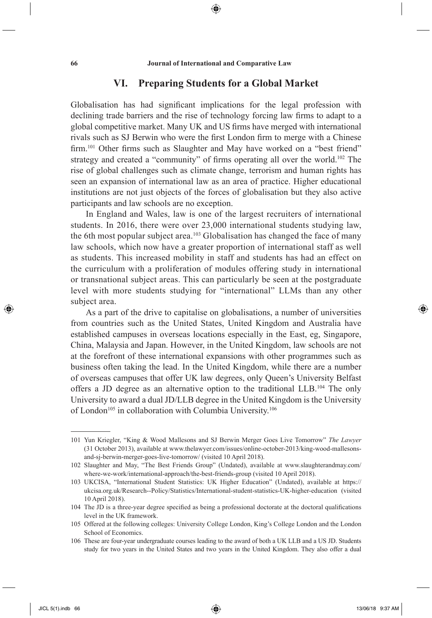⊕

# **VI. Preparing Students for a Global Market**

Globalisation has had significant implications for the legal profession with declining trade barriers and the rise of technology forcing law firms to adapt to a global competitive market. Many UK and US firms have merged with international rivals such as SJ Berwin who were the first London firm to merge with a Chinese firm.<sup>101</sup> Other firms such as Slaughter and May have worked on a "best friend" strategy and created a "community" of firms operating all over the world.<sup>102</sup> The rise of global challenges such as climate change, terrorism and human rights has seen an expansion of international law as an area of practice. Higher educational institutions are not just objects of the forces of globalisation but they also active participants and law schools are no exception.

In England and Wales, law is one of the largest recruiters of international students. In 2016, there were over 23,000 international students studying law, the 6th most popular subject area.<sup>103</sup> Globalisation has changed the face of many law schools, which now have a greater proportion of international staff as well as students. This increased mobility in staff and students has had an effect on the curriculum with a proliferation of modules offering study in international or transnational subject areas. This can particularly be seen at the postgraduate level with more students studying for "international" LLMs than any other subject area.

As a part of the drive to capitalise on globalisations, a number of universities from countries such as the United States, United Kingdom and Australia have established campuses in overseas locations especially in the East, eg, Singapore, China, Malaysia and Japan. However, in the United Kingdom, law schools are not at the forefront of these international expansions with other programmes such as business often taking the lead. In the United Kingdom, while there are a number of overseas campuses that offer UK law degrees, only Queen's University Belfast offers a JD degree as an alternative option to the traditional LLB.104 The only University to award a dual JD/LLB degree in the United Kingdom is the University of London<sup>105</sup> in collaboration with Columbia University.<sup>106</sup>

⊕

<sup>101</sup> Yun Kriegler, "King & Wood Mallesons and SJ Berwin Merger Goes Live Tomorrow" *The Lawyer* (31 October 2013), available at www.thelawyer.com/issues/online-october-2013/king-wood-mallesonsand-sj-berwin-merger-goes-live-tomorrow/ (visited 10 April 2018).

<sup>102</sup> Slaughter and May, "The Best Friends Group" (Undated), available at www.slaughterandmay.com/ where-we-work/international-approach/the-best-friends-group (visited 10 April 2018).

<sup>103</sup> UKCISA, "International Student Statistics: UK Higher Education" (Undated), available at https:// ukcisa.org.uk/Research--Policy/Statistics/International-student-statistics-UK-higher-education (visited 10 April 2018).

<sup>104</sup> The JD is a three-year degree specified as being a professional doctorate at the doctoral qualifications level in the UK framework.

<sup>105</sup> Offered at the following colleges: University College London, King's College London and the London School of Economics.

<sup>106</sup> These are four-year undergraduate courses leading to the award of both a UK LLB and a US JD. Students study for two years in the United States and two years in the United Kingdom. They also offer a dual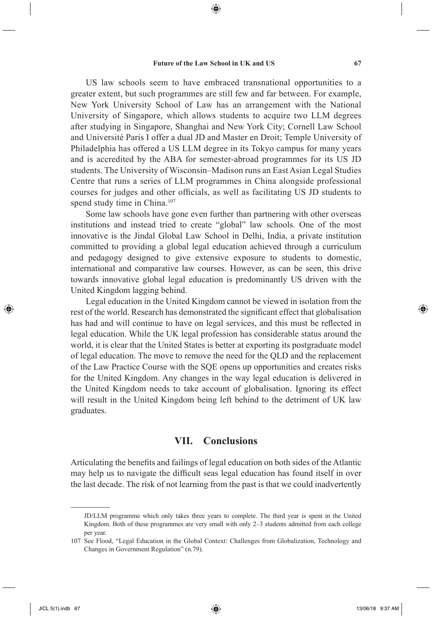⊕

US law schools seem to have embraced transnational opportunities to a greater extent, but such programmes are still few and far between. For example, New York University School of Law has an arrangement with the National University of Singapore, which allows students to acquire two LLM degrees after studying in Singapore, Shanghai and New York City; Cornell Law School and Université Paris I offer a dual JD and Master en Droit; Temple University of Philadelphia has offered a US LLM degree in its Tokyo campus for many years and is accredited by the ABA for semester-abroad programmes for its US JD students. The University of Wisconsin–Madison runs an East Asian Legal Studies Centre that runs a series of LLM programmes in China alongside professional courses for judges and other officials, as well as facilitating US JD students to spend study time in China.<sup>107</sup>

Some law schools have gone even further than partnering with other overseas institutions and instead tried to create "global" law schools. One of the most innovative is the Jindal Global Law School in Delhi, India, a private institution committed to providing a global legal education achieved through a curriculum and pedagogy designed to give extensive exposure to students to domestic, international and comparative law courses. However, as can be seen, this drive towards innovative global legal education is predominantly US driven with the United Kingdom lagging behind.

Legal education in the United Kingdom cannot be viewed in isolation from the rest of the world. Research has demonstrated the significant effect that globalisation has had and will continue to have on legal services, and this must be reflected in legal education. While the UK legal profession has considerable status around the world, it is clear that the United States is better at exporting its postgraduate model of legal education. The move to remove the need for the QLD and the replacement of the Law Practice Course with the SQE opens up opportunities and creates risks for the United Kingdom. Any changes in the way legal education is delivered in the United Kingdom needs to take account of globalisation. Ignoring its effect will result in the United Kingdom being left behind to the detriment of UK law graduates.

### **VII. Conclusions**

Articulating the benefits and failings of legal education on both sides of the Atlantic may help us to navigate the difficult seas legal education has found itself in over the last decade. The risk of not learning from the past is that we could inadvertently

⊕

JD/LLM programme which only takes three years to complete. The third year is spent in the United Kingdom. Both of these programmes are very small with only 2–3 students admitted from each college per year.

<sup>107</sup> See Flood, "Legal Education in the Global Context: Challenges from Globalization, Technology and Changes in Government Regulation" (n.79).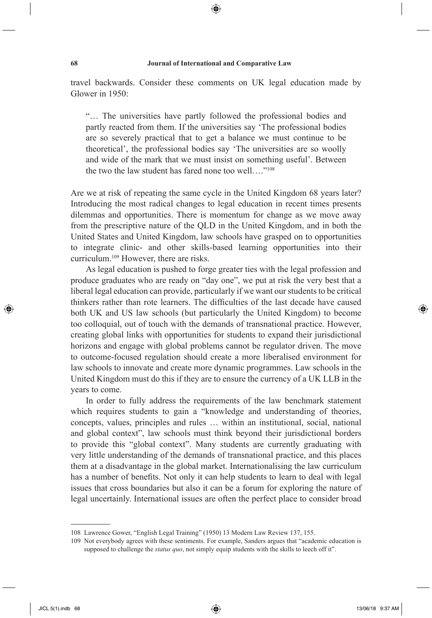⊕

travel backwards. Consider these comments on UK legal education made by Glower in 1950:

"… The universities have partly followed the professional bodies and partly reacted from them. If the universities say 'The professional bodies are so severely practical that to get a balance we must continue to be theoretical', the professional bodies say 'The universities are so woolly and wide of the mark that we must insist on something useful'. Between the two the law student has fared none too well...."<sup>108</sup>

Are we at risk of repeating the same cycle in the United Kingdom 68 years later? Introducing the most radical changes to legal education in recent times presents dilemmas and opportunities. There is momentum for change as we move away from the prescriptive nature of the QLD in the United Kingdom, and in both the United States and United Kingdom, law schools have grasped on to opportunities to integrate clinic- and other skills-based learning opportunities into their curriculum.109 However, there are risks.

As legal education is pushed to forge greater ties with the legal profession and produce graduates who are ready on "day one", we put at risk the very best that a liberal legal education can provide, particularly if we want our students to be critical thinkers rather than rote learners. The difficulties of the last decade have caused both UK and US law schools (but particularly the United Kingdom) to become too colloquial, out of touch with the demands of transnational practice. However, creating global links with opportunities for students to expand their jurisdictional horizons and engage with global problems cannot be regulator driven. The move to outcome-focused regulation should create a more liberalised environment for law schools to innovate and create more dynamic programmes. Law schools in the United Kingdom must do this if they are to ensure the currency of a UK LLB in the years to come.

In order to fully address the requirements of the law benchmark statement which requires students to gain a "knowledge and understanding of theories, concepts, values, principles and rules … within an institutional, social, national and global context", law schools must think beyond their jurisdictional borders to provide this "global context". Many students are currently graduating with very little understanding of the demands of transnational practice, and this places them at a disadvantage in the global market. Internationalising the law curriculum has a number of benefits. Not only it can help students to learn to deal with legal issues that cross boundaries but also it can be a forum for exploring the nature of legal uncertainly. International issues are often the perfect place to consider broad

⊕

<sup>108</sup> Lawrence Gower, "English Legal Training" (1950) 13 Modern Law Review 137, 155.

<sup>109</sup> Not everybody agrees with these sentiments. For example, Sanders argues that "academic education is supposed to challenge the *status quo*, not simply equip students with the skills to leech off it".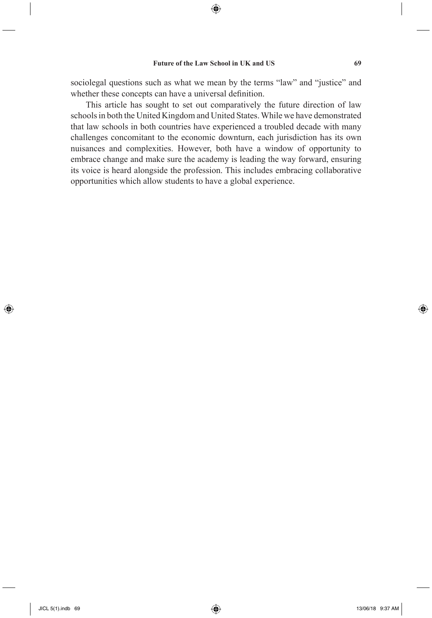sociolegal questions such as what we mean by the terms "law" and "justice" and whether these concepts can have a universal definition.

This article has sought to set out comparatively the future direction of law schools in both the United Kingdom and United States. While we have demonstrated that law schools in both countries have experienced a troubled decade with many challenges concomitant to the economic downturn, each jurisdiction has its own nuisances and complexities. However, both have a window of opportunity to embrace change and make sure the academy is leading the way forward, ensuring its voice is heard alongside the profession. This includes embracing collaborative opportunities which allow students to have a global experience.

⊕

◈